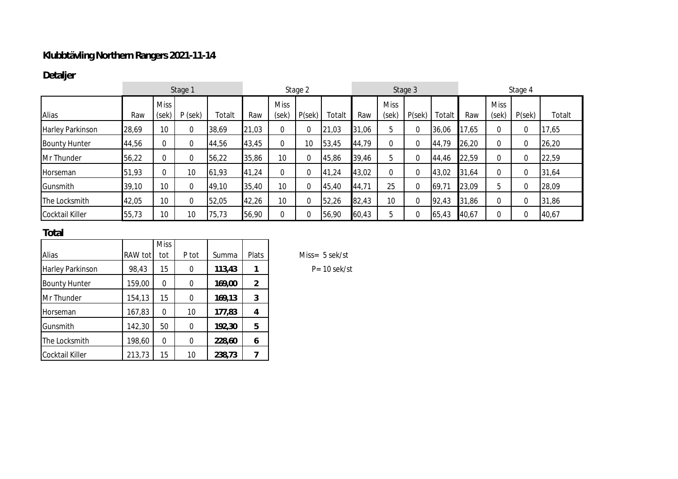## **Klubbtävling Northern Rangers 2021-11-14**

## **Detaljer**

|                         | Stage 1 |                      |           |        | Stage 2 |                      |       | Stage 3 |       |                      | Stage 4 |        |       |                      |       |        |
|-------------------------|---------|----------------------|-----------|--------|---------|----------------------|-------|---------|-------|----------------------|---------|--------|-------|----------------------|-------|--------|
| Alias                   | Raw     | <b>Miss</b><br>(sek) | $P$ (sek) | Totalt | Raw     | <b>Miss</b><br>(sek) | P(se) | Totalt  | Raw   | <b>Miss</b><br>(sek) | P(se)   | Totalt | Raw   | <b>Miss</b><br>(sek) | P(se) | Totalt |
| <b>Harley Parkinson</b> | 28,69   | 10                   | 0         | 38,69  | 21,03   | $\mathbf 0$          | 0     | 21,03   | 31,06 | 5                    |         | 36,06  | 17,65 | $\mathbf{0}$         |       | 17,65  |
| <b>Bounty Hunter</b>    | 44,56   | $\mathbf 0$          | 0         | 44,56  | 43,45   | $\mathbf 0$          | 10    | 53,45   | 44,79 | 0                    | 0       | 44,79  | 26,20 | $\mathbf{0}$         |       | 26,20  |
| Mr Thunder              | 56,22   | $\mathbf 0$          | 0         | 56,22  | 35,86   | 10                   |       | 45,86   | 39,46 | 5                    | 0       | 44,46  | 22,59 | $\mathbf{0}$         |       | 22,59  |
| Horseman                | 51,93   | $\Omega$             | 10        | 61,93  | 41,24   | 0                    | 0     | 41,24   | 43,02 | 0                    | 0       | 43,02  | 31,64 | $\mathbf{0}$         |       | 31,64  |
| Gunsmith                | 39,10   | 10                   | $\Omega$  | 49,10  | 35,40   | 10                   | 0     | 45,40   | 44,71 | 25                   | 0       | 69,71  | 23,09 | b                    |       | 28,09  |
| The Locksmith           | 42,05   | 10 <sup>°</sup>      | 0         | 52,05  | 42,26   | 10                   | 0     | 52,26   | 82,43 | 10                   | 0       | 92,43  | 31,86 | $\mathbf{0}$         |       | 31,86  |
| Cocktail Killer         | 55,73   | 10                   | 10        | 75,73  | 56,90   |                      | 0     | 56,90   | 60,43 | 5                    | 0       | 65,43  | 40,67 | $\Omega$             |       | 40,67  |

## **Total**

|                      |         | <b>Miss</b> |       |        |       |
|----------------------|---------|-------------|-------|--------|-------|
| Alias                | RAW tot | tot         | P tot | Summa  | Plats |
| Harley Parkinson     | 98,43   | 15          | 0     | 113,43 |       |
| <b>Bounty Hunter</b> | 159,00  | 0           | 0     | 169,00 | 2     |
| Mr Thunder           | 154,13  | 15          | 0     | 169,13 | 3     |
| Horseman             | 167,83  | 0           | 10    | 177,83 | 4     |
| Gunsmith             | 142,30  | 50          | 0     | 192,30 | 5     |
| The Locksmith        | 198,60  | 0           | 0     | 228,60 | 6     |
| Cocktail Killer      | 213,73  | 15          | 10    | 238,73 |       |

 $Miss = 5 sek/st$ 

Harley Parkinson 98,43 15 0 **113,43 1** P= 10 sek/st